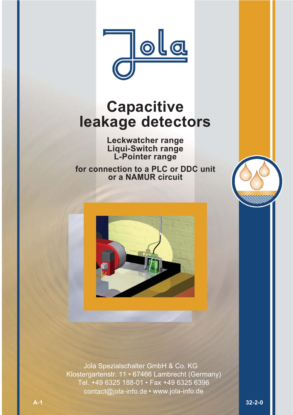

# **Capacitive leakage detectors**

**Leckwatcher range Liqui-Switch range L-Pointer range**

**for connection to a PLC or DDC unit or a NAMUR circuit**



 Jola Spezialschalter GmbH & Co. KG Klostergartenstr. 11 • 67466 Lambrecht (Germany) Tel. +49 6325 188-01 • Fax +49 6325 6396 contact@jola-info.de • www.jola-info.de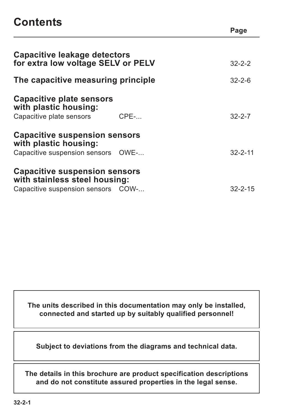## **Contents**

| <b>Capacitive leakage detectors</b><br>for extra low voltage SELV or PELV |         | $32 - 2 - 2$  |
|---------------------------------------------------------------------------|---------|---------------|
| The capacitive measuring principle                                        |         | $32 - 2 - 6$  |
| <b>Capacitive plate sensors</b><br>with plastic housing:                  |         |               |
| Capacitive plate sensors                                                  | $CPE$ - | $32 - 2 - 7$  |
| <b>Capacitive suspension sensors</b><br>with plastic housing:             |         |               |
| Capacitive suspension sensors OWE-                                        |         | $32 - 2 - 11$ |
| <b>Capacitive suspension sensors</b><br>with stainless steel housing:     |         |               |
| Capacitive suspension sensors COW-                                        |         | $32 - 2 - 15$ |
|                                                                           |         |               |

**Page**

**The units described in this documentation may only be installed, connected and started up by suitably qualified personnel!**

**Subject to deviations from the diagrams and technical data.**

**The details in this brochure are product specification descriptions and do not constitute assured properties in the legal sense.**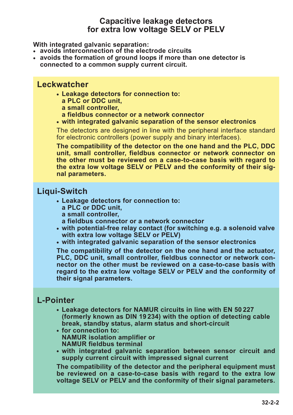## **Capacitive leakage detectors for extra low voltage SELV or PELV**

**With integrated galvanic separation:**

- **• avoids interconnection of the electrode circuits**
- **• avoids the formation of ground loops if more than one detector is connected to a common supply current circuit.**

### **Leckwatcher**

- **• Leakage detectors for connection to:**
	- **a PLC or DDC unit,**
	- **a small controller,**
	- **a fieldbus connector or a network connector**
- **• with integrated galvanic separation of the sensor electronics**

The detectors are designed in line with the peripheral interface standard for electronic controllers (power supply and binary interfaces).

**The compatibility of the detector on the one hand and the PLC, DDC unit, small controller, fieldbus connector or network connector on the other must be reviewed on a case-to-case basis with regard to the extra low voltage SELV or PELV and the conformity of their signal parameters.**

## **Liqui-Switch**

- **• Leakage detectors for connection to: a PLC or DDC unit,** 
	- **a small controller,**
	- **a fieldbus connector or a network connector**
- **• with potential-free relay contact (for switching e.g. a solenoid valve with extra low voltage SELV or PELV)**
- **• with integrated galvanic separation of the sensor electronics**

**The compatibility of the detector on the one hand and the actuator, PLC, DDC unit, small controller, fieldbus connector or network connector on the other must be reviewed on a case-to-case basis with regard to the extra low voltage SELV or PELV and the conformity of their signal parameters.**

### **L-Pointer**

- **• Leakage detectors for NAMUR circuits in line with EN 50 227 (formerly known as DIN 19 234) with the option of detecting cable break, standby status, alarm status and short-circuit**
- **• for connection to: NAMUR isolation amplifier or NAMUR fieldbus terminal**
- **• with integrated galvanic separation between sensor circuit and supply current circuit with impressed signal current**

**The compatibility of the detector and the peripheral equipment must be reviewed on a case-to-case basis with regard to the extra low voltage SELV or PELV and the conformity of their signal parameters.**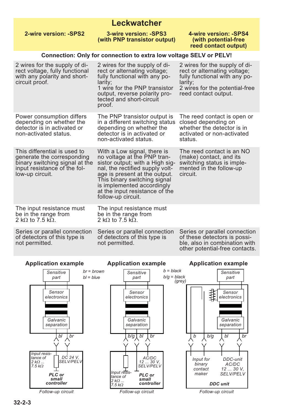## **Leckwatcher**

| 2-wire version: -SPS2                                                                                                                           | 3-wire version: -SPS3<br>(with PNP transistor output)                                                                                                                                                                                                                                   | 4-wire version: -SPS4<br>(with potential-free<br>reed contact output)                                                                                               |
|-------------------------------------------------------------------------------------------------------------------------------------------------|-----------------------------------------------------------------------------------------------------------------------------------------------------------------------------------------------------------------------------------------------------------------------------------------|---------------------------------------------------------------------------------------------------------------------------------------------------------------------|
|                                                                                                                                                 | <b>Connection: Only for connection to extra low voltage SELV or PELV!</b>                                                                                                                                                                                                               |                                                                                                                                                                     |
| 2 wires for the supply of di-<br>rect voltage, fully functional<br>with any polarity and short-<br>circuit proof.                               | 2 wires for the supply of di-<br>rect or alternating voltage;<br>fully functional with any po-<br>larity;<br>1 wire for the PNP transistor<br>output, reverse polarity pro-<br>tected and short-circuit<br>proof.                                                                       | 2 wires for the supply of di-<br>rect or alternating voltage;<br>fully functional with any po-<br>larity;<br>2 wires for the potential-free<br>reed contact output. |
| Power consumption differs<br>depending on whether the<br>detector is in activated or<br>non-activated status.                                   | The PNP transistor output is<br>in a different switching status<br>depending on whether the<br>detector is in activated or<br>non-activated status.                                                                                                                                     | The reed contact is open or<br>closed depending on<br>whether the detector is in<br>activated or non-activated<br>status.                                           |
| This differential is used to<br>generate the corresponding<br>binary switching signal at the<br>input resistance of the fol-<br>low-up circuit. | With a Low signal, there is<br>no voltage at the PNP tran-<br>sistor output; with a High sig-<br>nal, the rectified supply volt-<br>age is present at the output.<br>This binary switching signal<br>is implemented accordingly<br>at the input resistance of the<br>follow-up circuit. | The reed contact is an NO<br>(make) contact, and its<br>switching status is imple-<br>mented in the follow-up<br>circuit.                                           |
| The input resistance must<br>be in the range from<br>2 k $\Omega$ to 7.5 k $\Omega$ .                                                           | The input resistance must<br>be in the range from<br>2 k $\Omega$ to 7.5 k $\Omega$ .                                                                                                                                                                                                   |                                                                                                                                                                     |
| Series or parallel connection<br>of detectors of this type is<br>not permitted.                                                                 | Series or parallel connection<br>of detectors of this type is<br>not permitted.                                                                                                                                                                                                         | Series or parallel connection<br>of these detectors is possi-<br>ble, also in combination with<br>other potential-free contacts.                                    |

**Application example Application example Application example** *b = black br = brown Sensitive Sensitive Sensitive bl = blue b/g = black (grey) part part part* 非非 *Sensor Sensor Sensor electronics electronics electronics Galvanic Galvanic Galvanic separation separation separation bl*  $\left\lfloor \frac{b}{g} \right\rfloor$  *bl br br b/g bl br b b/g Input resis-AC/DC tance of DC 24 V, Input for DDC-unit SELV/PELV 2 k*<sup>Ω</sup> *... 12 ... 30 V, AC/DC binary 7.5 k*<sup>Ω</sup> *SELV/PELV 12 ... 30 V, contact Input resis-SELV/PELV maker PLC or PLC or tance of small small 2 k*<sup>Ω</sup> *... controllercontroller DDC unit 7.5 k*<sup>Ω</sup> *Follow-up circuit Follow-up circuit Follow-up circuit*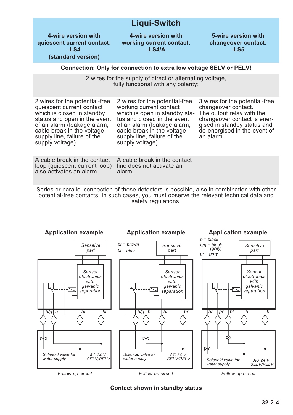## **Liqui-Switch**

**4-wire version with quiescent current contact: -LS4 (standard version)**

**4-wire version with working current contact: -LS4/A**

**5-wire version with changeover contact: -LS5**

#### **Connection: Only for connection to extra low voltage SELV or PELV!**

2 wires for the supply of direct or alternating voltage, fully functional with any polarity;

2 wires for the potential-free quiescent current contact which is closed in standby status and open in the event of an alarm (leakage alarm, cable break in the voltagesupply line, failure of the supply voltage).

2 wires for the potential-free working current contact which is open in standby status and closed in the event of an alarm (leakage alarm, cable break in the voltagesupply line, failure of the supply voltage).

3 wires for the potential-free changeover contact. The output relay with the changeover contact is energised in standby status and de-energised in the event of an alarm.

A cable break in the contact loop (quiescent current loop) also activates an alarm.

A cable break in the contact line does not activate an alarm.

Series or parallel connection of these detectors is possible, also in combination with other potential-free contacts. In such cases, you must observe the relevant technical data and safety regulations.



**Contact shown in standby status**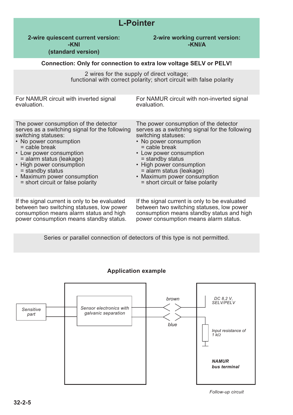|                                                                                                                                                                                                                                                                                                                                        | <b>L-Pointer</b>                                                                                                                                                                                                                                                                                                                       |  |  |  |
|----------------------------------------------------------------------------------------------------------------------------------------------------------------------------------------------------------------------------------------------------------------------------------------------------------------------------------------|----------------------------------------------------------------------------------------------------------------------------------------------------------------------------------------------------------------------------------------------------------------------------------------------------------------------------------------|--|--|--|
| 2-wire quiescent current version:<br>-KNI<br>(standard version)                                                                                                                                                                                                                                                                        | 2-wire working current version:<br>-KNI/A                                                                                                                                                                                                                                                                                              |  |  |  |
|                                                                                                                                                                                                                                                                                                                                        | Connection: Only for connection to extra low voltage SELV or PELV!                                                                                                                                                                                                                                                                     |  |  |  |
|                                                                                                                                                                                                                                                                                                                                        | 2 wires for the supply of direct voltage;<br>functional with correct polarity; short circuit with false polarity                                                                                                                                                                                                                       |  |  |  |
| For NAMUR circuit with inverted signal<br>evaluation.                                                                                                                                                                                                                                                                                  | For NAMUR circuit with non-inverted signal<br>evaluation.                                                                                                                                                                                                                                                                              |  |  |  |
| The power consumption of the detector<br>serves as a switching signal for the following<br>switching statuses:<br>• No power consumption<br>$=$ cable break<br>• Low power consumption<br>= alarm status (leakage)<br>• High power consumption<br>= standby status<br>• Maximum power consumption<br>= short circuit or false polarity | The power consumption of the detector<br>serves as a switching signal for the following<br>switching statuses:<br>• No power consumption<br>$=$ cable break<br>• Low power consumption<br>= standby status<br>• High power consumption<br>= alarm status (leakage)<br>• Maximum power consumption<br>= short circuit or false polarity |  |  |  |
| If the signal current is only to be evaluated<br>between two switching statuses, low power<br>consumption means alarm status and high<br>power consumption means standby status.                                                                                                                                                       | If the signal current is only to be evaluated<br>between two switching statuses, low power<br>consumption means standby status and high<br>power consumption means alarm status.                                                                                                                                                       |  |  |  |

Series or parallel connection of detectors of this type is not permitted.



#### **Application example**

*Follow-up circuit*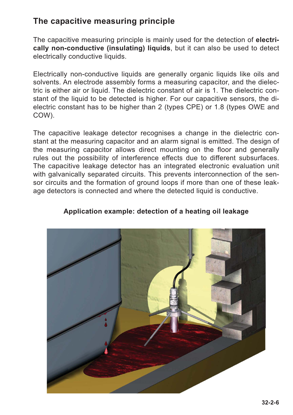## **The capacitive measuring principle**

The capacitive measuring principle is mainly used for the detection of **electrically non-conductive (insulating) liquids**, but it can also be used to detect electrically conductive liquids.

Electrically non-conductive liquids are generally organic liquids like oils and solvents. An electrode assembly forms a measuring capacitor, and the dielectric is either air or liquid. The dielectric constant of air is 1. The dielectric constant of the liquid to be detected is higher. For our capacitive sensors, the dielectric constant has to be higher than 2 (types CPE) or 1.8 (types OWE and COW).

The capacitive leakage detector recognises a change in the dielectric constant at the measuring capacitor and an alarm signal is emitted. The design of the measuring capacitor allows direct mounting on the floor and generally rules out the possibility of interference effects due to different subsurfaces. The capacitive leakage detector has an integrated electronic evaluation unit with galvanically separated circuits. This prevents interconnection of the sensor circuits and the formation of ground loops if more than one of these leakage detectors is connected and where the detected liquid is conductive.



### **Application example: detection of a heating oil leakage**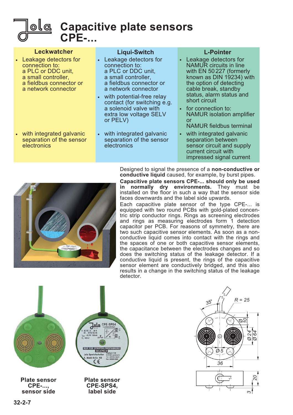

**Capacitive plate sensors CPE-...**

#### **Leckwatcher**

- Leakage detectors for connection to: a PLC or DDC unit, a small controller, a fieldbus connector or a network connector
- with integrated galvanic separation of the sensor electronics

#### **Liqui-Switch**

- Leakage detectors for connection to: a PLC or DDC unit, a small controller, a fieldbus connector or a network connector
- with potential-free relay contact (for switching e.g. a solenoid valve with extra low voltage SELV or PELV)
- with integrated galvanic separation of the sensor electronics

#### **L-Pointer**

- Leakage detectors for NAMUR circuits in line with EN 50 227 (formerly known as  $DIN$  19234) with the option of detecting cable break, standby status, alarm status and short circuit
- for connection to: NAMUR isolation amplifier or

NAMUR fieldbus terminal

with integrated galvanic separation between sensor circuit and supply current circuit with impressed signal current



Designed to signal the presence of a **non-conductive or conductive liquid** caused, for example, by burst pipes.

**Capacitive plate sensors CPE-... should only be used** in normally dry environments. They must be installed on the floor in such a way that the sensor side faces downwards and the label side upwards.

Each capacitive plate sensor of the type CPE-... is equipped with two round PCBs with gold-plated concentric strip conductor rings. Rings as screening electrodes and rings as measuring electrodes form 1 detection capacitor per PCB. For reasons of symmetry, there are two such capacitive sensor elements. As soon as a nonconductive liquid comes into contact with the rings and the spaces of one or both capacitive sensor elements, the capacitance between the electrodes changes and so does the switching status of the leakage detector. If a conductive liquid is present, the rings of the capacitive sensor element are conductively bridged, and this also results in a change in the switching status of the leakage detector.



**Plate sensor CPE-..., sensor side**

**Plate sensor CPE-SPS4, label side**

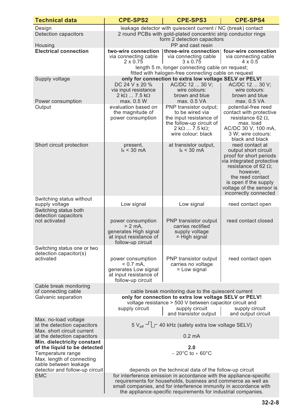| <b>Technical data</b>                                                                                                                                                                                                                 | <b>CPE-SPS2</b>                                                                                                                                                                                                                                                                                                                                                                                       | <b>CPE-SPS3</b>                                                                                                                                        | <b>CPE-SPS4</b>                                                                                                                                                                                                                              |  |
|---------------------------------------------------------------------------------------------------------------------------------------------------------------------------------------------------------------------------------------|-------------------------------------------------------------------------------------------------------------------------------------------------------------------------------------------------------------------------------------------------------------------------------------------------------------------------------------------------------------------------------------------------------|--------------------------------------------------------------------------------------------------------------------------------------------------------|----------------------------------------------------------------------------------------------------------------------------------------------------------------------------------------------------------------------------------------------|--|
| Design<br><b>Detection capacitors</b><br>Housing                                                                                                                                                                                      | leakage detector with quiescent current / NC (break) contact<br>2 round PCBs with gold-plated concentric strip conductor rings<br>form 2 detection capacitors<br>PP and cast resin                                                                                                                                                                                                                    |                                                                                                                                                        |                                                                                                                                                                                                                                              |  |
| <b>Electrical connection</b>                                                                                                                                                                                                          | two-wire connection<br>via connecting cable<br>$2 \times 0.75$                                                                                                                                                                                                                                                                                                                                        | three-wire connection   four-wire connection<br>via connecting cable<br>$3 \times 0.75$<br>length 5 m, longer connecting cable on request;             | via connecting cable<br>$4 \times 0.5$                                                                                                                                                                                                       |  |
|                                                                                                                                                                                                                                       |                                                                                                                                                                                                                                                                                                                                                                                                       | fitted with halogen-free connecting cable on request                                                                                                   |                                                                                                                                                                                                                                              |  |
| Supply voltage<br>Power consumption                                                                                                                                                                                                   | DC 24 V $\pm$ 20 %<br>via input resistance<br>$2 k\Omega$ 7.5 k $\Omega$<br>max. 0.5 W                                                                                                                                                                                                                                                                                                                | only for connection to extra low voltage SELV or PELV!<br>AC/DC 12  30 V;<br>wire colours:<br>brown and blue<br>max. 0.5 VA                            | AC/DC 12  30 V;<br>wire colours:<br>brown and blue<br>max. 0.5 VA                                                                                                                                                                            |  |
| Output                                                                                                                                                                                                                                | evaluation based on<br>the magnitude of<br>power consumption                                                                                                                                                                                                                                                                                                                                          | PNP transistor output;<br>to be wired via<br>the input resistance of<br>the follow-up circuit of<br>$2 k\Omega$ 7.5 k $\Omega$ ;<br>wire colour: black | potential-free reed<br>contact with protective<br>resistance 62 $\Omega$ ,<br>max. load<br>AC/DC 30 V, 100 mA,<br>3 W; wire colours:<br>black and black                                                                                      |  |
| Short circuit protection                                                                                                                                                                                                              | present,<br>$k < 30$ mA                                                                                                                                                                                                                                                                                                                                                                               | at transistor output,<br>$k < 30$ mA                                                                                                                   | reed contact at<br>output short circuit<br>proof for short periods<br>via integrated protective<br>resistance of 62 $\Omega$ ;<br>however,<br>the reed contact<br>is open if the supply<br>voltage of the sensor is<br>incorrectly connected |  |
| Switching status without<br>supply voltage                                                                                                                                                                                            | Low signal                                                                                                                                                                                                                                                                                                                                                                                            | Low signal                                                                                                                                             | reed contact open                                                                                                                                                                                                                            |  |
| Switching status both<br>detection capacitors<br>not activated                                                                                                                                                                        | power consumption<br>$> 2$ mA,<br>generates High signal<br>at input resistance of<br>follow-up circuit                                                                                                                                                                                                                                                                                                | PNP transistor output<br>carries rectified<br>supply voltage<br>$=$ High signal                                                                        | reed contact closed                                                                                                                                                                                                                          |  |
| Switching status one or two<br>detection capacitor(s)<br>activated                                                                                                                                                                    | power consumption<br>$< 0.7$ mA,<br>generates Low signal<br>at input resistance of<br>follow-up circuit                                                                                                                                                                                                                                                                                               | PNP transistor output<br>carries no voltage<br>= Low signal                                                                                            | reed contact open                                                                                                                                                                                                                            |  |
| Cable break monitoring<br>of connecting cable                                                                                                                                                                                         |                                                                                                                                                                                                                                                                                                                                                                                                       |                                                                                                                                                        |                                                                                                                                                                                                                                              |  |
| Galvanic separation                                                                                                                                                                                                                   | cable break monitoring due to the quiescent current<br>only for connection to extra low voltage SELV or PELV!<br>voltage resistance > 500 V between capacitor circuit and<br>supply circuit<br>supply circuit<br>supply circuit<br>and transistor output  <br>and output circuit                                                                                                                      |                                                                                                                                                        |                                                                                                                                                                                                                                              |  |
| Max. no-load voltage<br>at the detection capacitors                                                                                                                                                                                   |                                                                                                                                                                                                                                                                                                                                                                                                       | $5 V_{\text{eff}}$ $\rightarrow$ $\boxed{\phantom{0}}$ 40 kHz (safety extra low voltage SELV)                                                          |                                                                                                                                                                                                                                              |  |
| Max. short circuit current<br>at the detection capacitors<br>Min. dielectricity constant<br>of the liquid to be detected<br>Temperature range<br>Max. length of connecting<br>cable between leakage<br>detector and follow-up circuit | $0.2 \text{ mA}$<br>2.0<br>$-20^{\circ}$ C to $+60^{\circ}$ C<br>depends on the technical data of the follow-up circuit<br>for interference emission in accordance with the appliance-specific<br>requirements for households, business and commerce as well as<br>small companies, and for interference immunity in accordance with<br>the appliance-specific requirements for industrial companies. |                                                                                                                                                        |                                                                                                                                                                                                                                              |  |
| <b>EMC</b>                                                                                                                                                                                                                            |                                                                                                                                                                                                                                                                                                                                                                                                       |                                                                                                                                                        |                                                                                                                                                                                                                                              |  |

the appliance-specific requirements for industrial companies.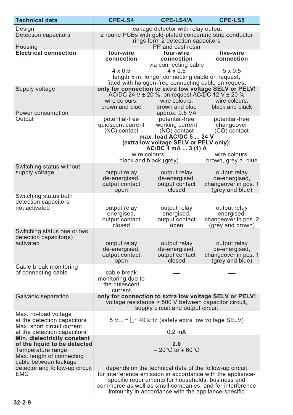| <b>Technical data</b>                                     | <b>CPE-LS4</b>                                                                                                  | <b>CPE-LS4/A</b>                                                                                        | <b>CPE-LS5</b>                           |
|-----------------------------------------------------------|-----------------------------------------------------------------------------------------------------------------|---------------------------------------------------------------------------------------------------------|------------------------------------------|
| Design                                                    |                                                                                                                 | leakage detector with relay output                                                                      |                                          |
| <b>Detection capacitors</b>                               | 2 round PCBs with gold-plated concentric strip conductor                                                        |                                                                                                         |                                          |
|                                                           | rings form 2 detection capacitors<br>PP and cast resin                                                          |                                                                                                         |                                          |
| Housing<br><b>Electrical connection</b>                   | four-wire                                                                                                       | four-wire                                                                                               | five-wire                                |
|                                                           | connection                                                                                                      | connection                                                                                              | connection                               |
|                                                           |                                                                                                                 | via connecting cable                                                                                    |                                          |
|                                                           | $4 \times 0.5$                                                                                                  | $4 \times 0.5$                                                                                          | $5 \times 0.5$                           |
|                                                           |                                                                                                                 | length 5 m, longer connecting cable on request;<br>fitted with halogen-free connecting cable on request |                                          |
| Supply voltage                                            |                                                                                                                 | only for connection to extra low voltage SELV or PELV!                                                  |                                          |
|                                                           |                                                                                                                 | AC/DC 24 V $\pm$ 20 %, on request AC/DC 12 V $\pm$ 20 %                                                 |                                          |
|                                                           | wire colours:                                                                                                   | wire colours:                                                                                           | wire colours:                            |
|                                                           | brown and blue                                                                                                  | brown and blue                                                                                          | black and black                          |
| Power consumption<br>Output                               | potential-free                                                                                                  | approx. 0.5 VA<br>potential-free                                                                        | potential-free                           |
|                                                           | quiescent current                                                                                               | working current                                                                                         | changeover                               |
|                                                           | (NC) contact                                                                                                    | (NO) contact                                                                                            | (CO) contact                             |
|                                                           |                                                                                                                 | max. load AC/DC 5  24 V<br>(extra low voltage SELV or PELV only);                                       |                                          |
|                                                           |                                                                                                                 | AC/DC 1 mA  3 (1) A                                                                                     |                                          |
|                                                           | wire colours:                                                                                                   |                                                                                                         | wire colours:                            |
|                                                           |                                                                                                                 | black and black (grey)                                                                                  | brown, grey a. blue                      |
| Switching status without<br>supply voltage                | output relay                                                                                                    | output relay                                                                                            | output relay                             |
|                                                           | de-energised,                                                                                                   | de-energised,                                                                                           | de-energised,                            |
|                                                           | output contact                                                                                                  | output contact                                                                                          | changeover in pos. 1                     |
|                                                           | open                                                                                                            | closed                                                                                                  | (grey and blue)                          |
| Switching status both<br>detection capacitors             |                                                                                                                 |                                                                                                         |                                          |
| not activated                                             | output relay                                                                                                    | output relay                                                                                            | output relay                             |
|                                                           | energised,                                                                                                      | energised,                                                                                              | energised,                               |
|                                                           | output contact<br>closed                                                                                        | output contact<br>open                                                                                  | changeover in pos. 2<br>(grey and brown) |
| Switching status one or two                               |                                                                                                                 |                                                                                                         |                                          |
| detection capacitor(s)                                    |                                                                                                                 |                                                                                                         |                                          |
| activated                                                 | output relay                                                                                                    | output relay                                                                                            | output relay                             |
|                                                           | de-energised,<br>output contact                                                                                 | de-energised,<br>output contact                                                                         | de-energised,<br>changeover in pos. 1    |
|                                                           | open                                                                                                            | closed                                                                                                  | (grey and blue)                          |
| Cable break monitoring                                    |                                                                                                                 |                                                                                                         |                                          |
| of connecting cable                                       | cable break<br>monitoring due to                                                                                |                                                                                                         |                                          |
|                                                           | the quiescent                                                                                                   |                                                                                                         |                                          |
|                                                           | current                                                                                                         |                                                                                                         |                                          |
| Galvanic separation                                       |                                                                                                                 | only for connection to extra low voltage SELV or PELV!                                                  |                                          |
|                                                           |                                                                                                                 | voltage resistance > 500 V between capacitor circuit,<br>supply circuit and output circuit              |                                          |
| Max. no-load voltage                                      |                                                                                                                 |                                                                                                         |                                          |
| at the detection capacitors                               |                                                                                                                 | $5 V_{\text{eff}}$ – $\Box$ 40 kHz (safety extra low voltage SELV)                                      |                                          |
| Max. short circuit current<br>at the detection capacitors |                                                                                                                 | $0.2 \text{ mA}$                                                                                        |                                          |
| Min. dielectricity constant                               |                                                                                                                 |                                                                                                         |                                          |
| of the liquid to be detected                              |                                                                                                                 | 2.0                                                                                                     |                                          |
| Temperature range                                         |                                                                                                                 | $-20^{\circ}$ C to $+60^{\circ}$ C                                                                      |                                          |
| Max. length of connecting<br>cable between leakage        |                                                                                                                 |                                                                                                         |                                          |
| detector and follow-up circuit                            |                                                                                                                 | depends on the technical data of the follow-up circuit                                                  |                                          |
| <b>EMC</b>                                                |                                                                                                                 | for interference emission in accordance with the appliance-                                             |                                          |
|                                                           | specific requirements for households, business and                                                              |                                                                                                         |                                          |
|                                                           | commerce as well as small companies, and for interference<br>immunity in accordance with the appliance-specific |                                                                                                         |                                          |
|                                                           |                                                                                                                 |                                                                                                         |                                          |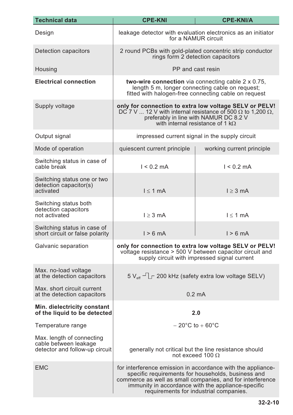| <b>Technical data</b>                                                                | <b>CPE-KNI</b>                                                                                                                                                                                                                                                                 | <b>CPE-KNI/A</b>                                                                                                                                                   |  |
|--------------------------------------------------------------------------------------|--------------------------------------------------------------------------------------------------------------------------------------------------------------------------------------------------------------------------------------------------------------------------------|--------------------------------------------------------------------------------------------------------------------------------------------------------------------|--|
| Design                                                                               |                                                                                                                                                                                                                                                                                | leakage detector with evaluation electronics as an initiator<br>for a NAMUR circuit                                                                                |  |
| Detection capacitors                                                                 |                                                                                                                                                                                                                                                                                | 2 round PCBs with gold-plated concentric strip conductor<br>rings form 2 detection capacitors                                                                      |  |
| Housing                                                                              |                                                                                                                                                                                                                                                                                | PP and cast resin                                                                                                                                                  |  |
| <b>Electrical connection</b>                                                         | <b>two-wire connection</b> via connecting cable $2 \times 0.75$ ,<br>length 5 m, longer connecting cable on request;<br>fitted with halogen-free connecting cable on request                                                                                                   |                                                                                                                                                                    |  |
| Supply voltage                                                                       | only for connection to extra low voltage SELV or PELV!<br>DC 7 V  12 V with internal resistance of 500 $\Omega$ to 1,200 $\Omega$ ,<br>preferably in line with NAMUR DC 8.2 V<br>with internal resistance of 1 $k\Omega$                                                       |                                                                                                                                                                    |  |
| Output signal                                                                        |                                                                                                                                                                                                                                                                                | impressed current signal in the supply circuit                                                                                                                     |  |
| Mode of operation                                                                    | quiescent current principle                                                                                                                                                                                                                                                    | working current principle                                                                                                                                          |  |
| Switching status in case of<br>cable break                                           | $1 < 0.2$ mA                                                                                                                                                                                                                                                                   | $1 < 0.2$ mA                                                                                                                                                       |  |
| Switching status one or two<br>detection capacitor(s)<br>activated                   | $l \leq 1$ mA                                                                                                                                                                                                                                                                  | $l \geq 3$ mA                                                                                                                                                      |  |
| Switching status both<br>detection capacitors<br>not activated                       | $l \geq 3$ mA                                                                                                                                                                                                                                                                  | $l \leq 1$ mA                                                                                                                                                      |  |
| Switching status in case of<br>short circuit or false polarity                       | $1 > 6$ mA                                                                                                                                                                                                                                                                     | $1 > 6$ mA                                                                                                                                                         |  |
| Galvanic separation                                                                  |                                                                                                                                                                                                                                                                                | only for connection to extra low voltage SELV or PELV!<br>voltage resistance > 500 V between capacitor circuit and<br>supply circuit with impressed signal current |  |
| Max. no-load voltage<br>at the detection capacitors                                  |                                                                                                                                                                                                                                                                                | $5 V_{\text{eff}}$ $\Box$ 200 kHz (safety extra low voltage SELV)                                                                                                  |  |
| Max, short circuit current<br>at the detection capacitors                            |                                                                                                                                                                                                                                                                                | $0.2 \text{ mA}$                                                                                                                                                   |  |
| Min. dielectricity constant<br>of the liquid to be detected                          |                                                                                                                                                                                                                                                                                | 2.0                                                                                                                                                                |  |
| Temperature range                                                                    |                                                                                                                                                                                                                                                                                | $-20^{\circ}$ C to $+60^{\circ}$ C                                                                                                                                 |  |
| Max. length of connecting<br>cable between leakage<br>detector and follow-up circuit | generally not critical but the line resistance should<br>not exceed 100 $\Omega$                                                                                                                                                                                               |                                                                                                                                                                    |  |
| <b>EMC</b>                                                                           | for interference emission in accordance with the appliance-<br>specific requirements for households, business and<br>commerce as well as small companies, and for interference<br>immunity in accordance with the appliance-specific<br>requirements for industrial companies. |                                                                                                                                                                    |  |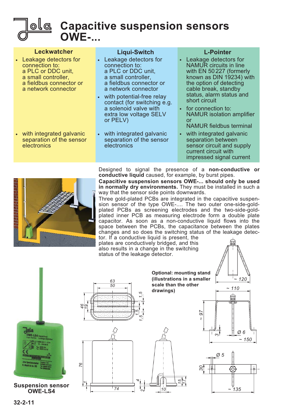

## **Capacitive suspension sensors OWE-...**

| <b>Leckwatcher</b><br>• Leakage detectors for<br>connection to:<br>a PLC or DDC unit.<br>a small controller.<br>a fieldbus connector or<br>a network connector<br>• with integrated galvanic<br>separation of the sensor<br>electronics | <b>Liqui-Switch</b><br>• Leakage detectors for<br>connection to:<br>a PLC or DDC unit.<br>a small controller.<br>a fieldbus connector or<br>a network connector<br>with potential-free relay<br>$\bullet$<br>contact (for switching e.g.<br>a solenoid valve with<br>extra low voltage SELV<br>or PELV)<br>• with integrated galvanic<br>separation of the sensor<br>electronics | <b>L-Pointer</b><br>• Leakage detectors for<br><b>NAMUR</b> circuits in line<br>with EN 50227 (formerly<br>known as DIN 19234) with<br>the option of detecting<br>cable break, standby<br>status, alarm status and<br>short circuit<br>• for connection to:<br><b>NAMUR</b> isolation amplifier<br>or<br><b>NAMUR</b> fieldbus terminal<br>with integrated galvanic<br>$\bullet$ .<br>separation between<br>sensor circuit and supply<br>current circuit with |
|-----------------------------------------------------------------------------------------------------------------------------------------------------------------------------------------------------------------------------------------|----------------------------------------------------------------------------------------------------------------------------------------------------------------------------------------------------------------------------------------------------------------------------------------------------------------------------------------------------------------------------------|---------------------------------------------------------------------------------------------------------------------------------------------------------------------------------------------------------------------------------------------------------------------------------------------------------------------------------------------------------------------------------------------------------------------------------------------------------------|
|                                                                                                                                                                                                                                         |                                                                                                                                                                                                                                                                                                                                                                                  | impressed signal current                                                                                                                                                                                                                                                                                                                                                                                                                                      |



Designed to signal the presence of a **non-conductive or conductive liquid** caused, for example, by burst pipes.

**Capacitive suspension sensors OWE-... should only be used in normally dry environments.** They must be installed in such a way that the sensor side points downwards.

Three gold-plated PCBs are integrated in the capacitive suspension sensor of the type OWE-.... The two outer one-side-goldplated PCBs as screening electrodes and the two-side-goldplated inner PCB as measuring electrode form a double plate capacitor. As soon as a non-conductive liquid flows into the space between the PCBs, the capacitance between the plates changes and so does the switching status of the leakage detector. If a conductive liquid is present, the

plates are conductively bridged, and this also results in a change in the switching status of the leakage detector.

**drawings)**



**Suspension sensor OWE-LS4**







*~ 97*



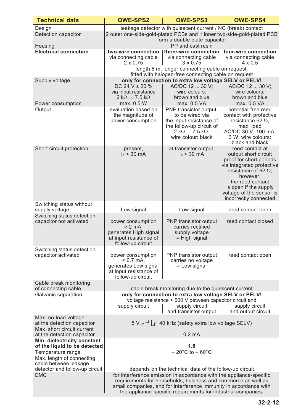| <b>Technical data</b>                                                                                                                                                    | <b>OWE-SPS2</b>                                                                                                                                                                                                                                                                                                                      | <b>OWE-SPS3</b>                                                                                                                                        | <b>OWE-SPS4</b>                                                                                                                                                                                                                              |  |
|--------------------------------------------------------------------------------------------------------------------------------------------------------------------------|--------------------------------------------------------------------------------------------------------------------------------------------------------------------------------------------------------------------------------------------------------------------------------------------------------------------------------------|--------------------------------------------------------------------------------------------------------------------------------------------------------|----------------------------------------------------------------------------------------------------------------------------------------------------------------------------------------------------------------------------------------------|--|
| Design<br>Detection capacitor<br>Housing                                                                                                                                 | leakage detector with quiescent current / NC (break) contact<br>2 outer one-side-gold-plated PCBs and 1 inner two-side-gold-plated PCB<br>form a double plate capacitor<br>PP and cast resin                                                                                                                                         |                                                                                                                                                        |                                                                                                                                                                                                                                              |  |
| <b>Electrical connection</b>                                                                                                                                             | two-wire connection<br>via connecting cable<br>$2 \times 0.75$                                                                                                                                                                                                                                                                       | three-wire connection<br>via connecting cable<br>$3 \times 0.75$<br>length 5 m, longer connecting cable on request;                                    | four-wire connection<br>via connecting cable<br>$4 \times 0.5$                                                                                                                                                                               |  |
| Supply voltage                                                                                                                                                           |                                                                                                                                                                                                                                                                                                                                      | fitted with halogen-free connecting cable on request<br>only for connection to extra low voltage SELV or PELV!                                         |                                                                                                                                                                                                                                              |  |
| Power consumption                                                                                                                                                        | DC 24 V $\pm$ 20 %<br>via input resistance<br>$2 k\Omega$ 7.5 k $\Omega$<br>max. 0.5 W                                                                                                                                                                                                                                               | AC/DC 12  30 V:<br>wire colours:<br>brown and blue<br>max. 0.5 VA                                                                                      | AC/DC 12  30 V;<br>wire colours:<br>brown and blue<br>max. 0.5 VA                                                                                                                                                                            |  |
| Output                                                                                                                                                                   | evaluation based on<br>the magnitude of<br>power consumption                                                                                                                                                                                                                                                                         | PNP transistor output;<br>to be wired via<br>the input resistance of<br>the follow-up circuit of<br>$2 k\Omega$ 7.5 k $\Omega$ ;<br>wire colour: black | potential-free reed<br>contact with protective<br>resistance 62 $\Omega$ ,<br>max. load<br>AC/DC 30 V, 100 mA,<br>3 W; wire colours:<br>black and black                                                                                      |  |
| Short circuit protection                                                                                                                                                 | present,<br>$k < 30$ mA                                                                                                                                                                                                                                                                                                              | at transistor output,<br>$k < 30$ mA                                                                                                                   | reed contact at<br>output short circuit<br>proof for short periods<br>via integrated protective<br>resistance of 62 $\Omega$ ;<br>however,<br>the reed contact<br>is open if the supply<br>voltage of the sensor is<br>incorrectly connected |  |
| Switching status without                                                                                                                                                 |                                                                                                                                                                                                                                                                                                                                      |                                                                                                                                                        |                                                                                                                                                                                                                                              |  |
| supply voltage<br>Switching status detection<br>capacitor not activated                                                                                                  | Low signal<br>power consumption<br>$> 2$ mA,<br>generates High signal<br>at input resistance of                                                                                                                                                                                                                                      | Low signal<br>PNP transistor output<br>carries rectified<br>supply voltage<br>= High signal                                                            | reed contact open<br>reed contact closed                                                                                                                                                                                                     |  |
| Switching status detection                                                                                                                                               | follow-up circuit                                                                                                                                                                                                                                                                                                                    |                                                                                                                                                        |                                                                                                                                                                                                                                              |  |
| capacitor activated                                                                                                                                                      | power consumption<br>$< 0.7$ mA,<br>generates Low signal<br>at input resistance of<br>follow-up circuit                                                                                                                                                                                                                              | PNP transistor output<br>carries no voltage<br>= Low signal                                                                                            | reed contact open                                                                                                                                                                                                                            |  |
| Cable break monitoring                                                                                                                                                   |                                                                                                                                                                                                                                                                                                                                      |                                                                                                                                                        |                                                                                                                                                                                                                                              |  |
| of connecting cable<br>Galvanic separation                                                                                                                               | cable break monitoring due to the quiescent current<br>only for connection to extra low voltage SELV or PELV!<br>voltage resistance > 500 V between capacitor circuit and<br>supply circuit<br>supply circuit<br>supply circuit<br>and transistor output  <br>and output circuit                                                     |                                                                                                                                                        |                                                                                                                                                                                                                                              |  |
| Max. no-load voltage<br>at the detection capacitor<br>Max. short circuit current<br>at the detection capacitor                                                           |                                                                                                                                                                                                                                                                                                                                      | $5V_{\text{eff}}$ $\Box$ 40 kHz (safety extra low voltage SELV)<br>$0.2 \text{ mA}$                                                                    |                                                                                                                                                                                                                                              |  |
| Min. dielectricity constant<br>of the liquid to be detected<br>Temperature range<br>Max. length of connecting<br>cable between leakage<br>detector and follow-up circuit |                                                                                                                                                                                                                                                                                                                                      | 1.8<br>$-20^{\circ}$ C to $+60^{\circ}$ C                                                                                                              |                                                                                                                                                                                                                                              |  |
| <b>EMC</b>                                                                                                                                                               | depends on the technical data of the follow-up circuit<br>for interference emission in accordance with the appliance-specific<br>requirements for households, business and commerce as well as<br>small companies, and for interference immunity in accordance with<br>the appliance-specific requirements for industrial companies. |                                                                                                                                                        |                                                                                                                                                                                                                                              |  |

the appliance-specific requirements for industrial companies.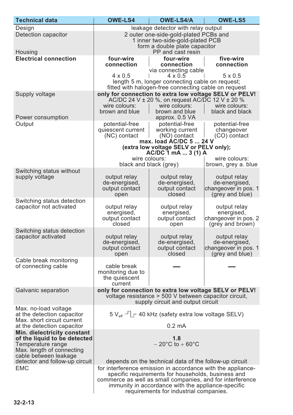| <b>Technical data</b>                                                                                                                  | <b>OWE-LS4</b>                                                                                                                                                                                                                                                                                                                           | <b>OWE-LS4/A</b>                                                                                                                                                             | <b>OWE-LS5</b>                                                                                  |
|----------------------------------------------------------------------------------------------------------------------------------------|------------------------------------------------------------------------------------------------------------------------------------------------------------------------------------------------------------------------------------------------------------------------------------------------------------------------------------------|------------------------------------------------------------------------------------------------------------------------------------------------------------------------------|-------------------------------------------------------------------------------------------------|
| Design                                                                                                                                 |                                                                                                                                                                                                                                                                                                                                          | leakage detector with relay output                                                                                                                                           |                                                                                                 |
| <b>Detection capacitor</b><br>Housing                                                                                                  | 2 outer one-side-gold-plated PCBs and<br>1 inner two-side-gold-plated PCB<br>form a double plate capacitor<br>PP and cast resin                                                                                                                                                                                                          |                                                                                                                                                                              |                                                                                                 |
| <b>Electrical connection</b>                                                                                                           | four-wire<br>connection<br>$4 \times 0.5$                                                                                                                                                                                                                                                                                                | four-wire<br>connection<br>via connecting cable<br>$4 \times 0.5$<br>length 5 m, longer connecting cable on request;<br>fitted with halogen-free connecting cable on request | five-wire<br>connection<br>$5 \times 0.5$                                                       |
| Supply voltage<br>Power consumption                                                                                                    | wire colours:<br>brown and blue                                                                                                                                                                                                                                                                                                          | only for connection to extra low voltage SELV or PELV!<br>AC/DC 24 V $\pm$ 20 %, on request AC/DC 12 V $\pm$ 20 %<br>wire colours:<br>brown and blue<br>approx. 0.5 VA       | wire colours:<br>black and black                                                                |
| Output                                                                                                                                 | potential-free<br>potential-free<br>potential-free<br>quiescent current<br>working current<br>changeover<br>(NC) contact<br>(NO) contact<br>(CO) contact<br>max. load AC/DC 5  24 V<br>(extra low voltage SELV or PELV only);<br>AC/DC 1 mA  3 (1) A<br>wire colours:<br>wire colours:                                                   |                                                                                                                                                                              |                                                                                                 |
| Switching status without<br>supply voltage                                                                                             | output relay<br>de-energised,<br>output contact<br>open                                                                                                                                                                                                                                                                                  | black and black (grey)<br>output relay<br>de-energised,<br>output contact<br>closed                                                                                          | brown, grey a. blue<br>output relay<br>de-energised,<br>changeover in pos. 1<br>(grey and blue) |
| Switching status detection<br>capacitor not activated                                                                                  | output relay<br>energised,<br>output contact<br>closed                                                                                                                                                                                                                                                                                   | output relay<br>energised,<br>output contact<br>open                                                                                                                         | output relay<br>energised,<br>changeover in pos. 2<br>(grey and brown)                          |
| Switching status detection<br>capacitor activated                                                                                      | output relay<br>de-energised,<br>output contact<br>open                                                                                                                                                                                                                                                                                  | output relay<br>de-energised,<br>output contact<br>closed                                                                                                                    | output relay<br>de-energised,<br>changeover in pos. 1 <br>(grey and blue)                       |
| Cable break monitoring<br>of connecting cable                                                                                          | cable break<br>monitoring due to<br>the quiescent<br>current                                                                                                                                                                                                                                                                             |                                                                                                                                                                              |                                                                                                 |
| Galvanic separation                                                                                                                    | only for connection to extra low voltage SELV or PELV!<br>voltage resistance > 500 V between capacitor circuit,<br>supply circuit and output circuit                                                                                                                                                                                     |                                                                                                                                                                              |                                                                                                 |
| Max. no-load voltage<br>at the detection capacitor<br>Max. short circuit current<br>at the detection capacitor                         | $5 V_{\text{eff}}$ – $\Gamma$ 40 kHz (safety extra low voltage SELV)<br>$0.2 \text{ mA}$                                                                                                                                                                                                                                                 |                                                                                                                                                                              |                                                                                                 |
| Min. dielectricity constant<br>of the liquid to be detected<br>Temperature range<br>Max. length of connecting<br>cable between leakage | 1.8<br>$-20^{\circ}$ C to +60 $^{\circ}$ C                                                                                                                                                                                                                                                                                               |                                                                                                                                                                              |                                                                                                 |
| detector and follow-up circuit<br><b>EMC</b>                                                                                           | depends on the technical data of the follow-up circuit<br>for interference emission in accordance with the appliance-<br>specific requirements for households, business and<br>commerce as well as small companies, and for interference<br>immunity in accordance with the appliance-specific<br>requirements for industrial companies. |                                                                                                                                                                              |                                                                                                 |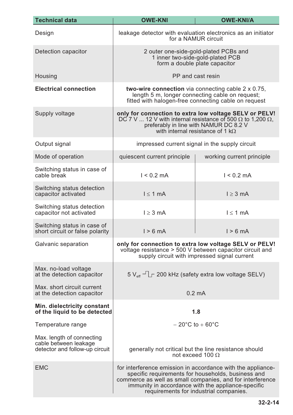| <b>Technical data</b>                                                                | <b>OWE-KNI</b>                                                                                                                                                                                                                                                                 | <b>OWE-KNI/A</b>                                                                                                                                                   |  |
|--------------------------------------------------------------------------------------|--------------------------------------------------------------------------------------------------------------------------------------------------------------------------------------------------------------------------------------------------------------------------------|--------------------------------------------------------------------------------------------------------------------------------------------------------------------|--|
| Design                                                                               | leakage detector with evaluation electronics as an initiator<br>for a NAMUR circuit                                                                                                                                                                                            |                                                                                                                                                                    |  |
| Detection capacitor                                                                  | 2 outer one-side-gold-plated PCBs and<br>1 inner two-side-gold-plated PCB<br>form a double plate capacitor                                                                                                                                                                     |                                                                                                                                                                    |  |
| Housing                                                                              |                                                                                                                                                                                                                                                                                | PP and cast resin                                                                                                                                                  |  |
| <b>Electrical connection</b>                                                         | <b>two-wire connection</b> via connecting cable $2 \times 0.75$ ,<br>length 5 m, longer connecting cable on request;<br>fitted with halogen-free connecting cable on request                                                                                                   |                                                                                                                                                                    |  |
| Supply voltage                                                                       | only for connection to extra low voltage SELV or PELV!<br>DC 7 V  12 V with internal resistance of 500 $\Omega$ to 1,200 $\Omega$ ,<br>preferably in line with NAMUR DC 8.2 V<br>with internal resistance of 1 k $\Omega$                                                      |                                                                                                                                                                    |  |
| Output signal                                                                        |                                                                                                                                                                                                                                                                                | impressed current signal in the supply circuit                                                                                                                     |  |
| Mode of operation                                                                    | quiescent current principle                                                                                                                                                                                                                                                    | working current principle                                                                                                                                          |  |
| Switching status in case of<br>cable break                                           | $1 < 0.2$ mA                                                                                                                                                                                                                                                                   | $1 < 0.2$ mA                                                                                                                                                       |  |
| Switching status detection<br>capacitor activated                                    | $l \leq 1$ mA                                                                                                                                                                                                                                                                  | $l \geq 3$ mA                                                                                                                                                      |  |
| Switching status detection<br>capacitor not activated                                | $l \geq 3$ mA                                                                                                                                                                                                                                                                  | $l \leq 1$ mA                                                                                                                                                      |  |
| Switching status in case of<br>short circuit or false polarity                       | $1 > 6$ mA                                                                                                                                                                                                                                                                     | $1 > 6$ mA                                                                                                                                                         |  |
| Galvanic separation                                                                  |                                                                                                                                                                                                                                                                                | only for connection to extra low voltage SELV or PELV!<br>voltage resistance > 500 V between capacitor circuit and<br>supply circuit with impressed signal current |  |
| Max. no-load voltage<br>at the detection capacitor                                   |                                                                                                                                                                                                                                                                                | $5 V_{\text{eff}}$ $\rightarrow$ $\Box$ 200 kHz (safety extra low voltage SELV)                                                                                    |  |
| Max. short circuit current<br>at the detection capacitor                             |                                                                                                                                                                                                                                                                                | $0.2 \text{ mA}$                                                                                                                                                   |  |
| Min. dielectricity constant<br>of the liquid to be detected                          | 1.8                                                                                                                                                                                                                                                                            |                                                                                                                                                                    |  |
| Temperature range                                                                    |                                                                                                                                                                                                                                                                                | $-20^{\circ}$ C to $+60^{\circ}$ C                                                                                                                                 |  |
| Max. length of connecting<br>cable between leakage<br>detector and follow-up circuit | generally not critical but the line resistance should<br>not exceed 100 $\Omega$                                                                                                                                                                                               |                                                                                                                                                                    |  |
| <b>EMC</b>                                                                           | for interference emission in accordance with the appliance-<br>specific requirements for households, business and<br>commerce as well as small companies, and for interference<br>immunity in accordance with the appliance-specific<br>requirements for industrial companies. |                                                                                                                                                                    |  |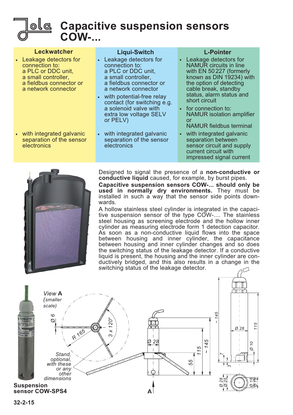

## **Capacitive suspension sensors COW-...**

| <b>Leckwatcher</b><br>• Leakage detectors for<br>connection to:<br>a PLC or DDC unit,<br>a small controller,<br>a fieldbus connector or<br>a network connector | <b>Liqui-Switch</b><br>• Leakage detectors for<br>connection to:<br>a PLC or DDC unit.<br>a small controller,<br>a fieldbus connector or<br>a network connector<br>with potential-free relay<br>$\bullet$ | <b>L-Pointer</b><br>• Leakage detectors for<br><b>NAMUR</b> circuits in line<br>with EN 50227 (formerly<br>known as DIN 19234) with<br>the option of detecting<br>cable break, standby<br>status, alarm status and |
|----------------------------------------------------------------------------------------------------------------------------------------------------------------|-----------------------------------------------------------------------------------------------------------------------------------------------------------------------------------------------------------|--------------------------------------------------------------------------------------------------------------------------------------------------------------------------------------------------------------------|
| • with integrated galvanic<br>separation of the sensor                                                                                                         | contact (for switching e.g.<br>a solenoid valve with<br>extra low voltage SELV<br>or PELV)<br>• with integrated galvanic<br>separation of the sensor                                                      | short circuit<br>• for connection to:<br><b>NAMUR</b> isolation amplifier<br><u>or</u><br><b>NAMUR</b> fieldbus terminal<br>• with integrated galvanic<br>separation between                                       |
| electronics                                                                                                                                                    | electronics                                                                                                                                                                                               | sensor circuit and supply<br>current circuit with<br>impressed signal current                                                                                                                                      |



Designed to signal the presence of a **non-conductive or conductive liquid** caused, for example, by burst pipes.

**Capacitive suspension sensors COW-... should only be used in normally dry environments.** They must be installed in such a way that the sensor side points downwards.

A hollow stainless steel cylinder is integrated in the capacitive suspension sensor of the type COW-.... The stainless steel housing as screening electrode and the hollow inner cylinder as measuring electrode form 1 detection capacitor. As soon as a non-conductive liquid flows into the space between housing and inner cylinder, the capacitance between housing and inner cylinder changes and so does the switching status of the leakage detector. If a conductive liquid is present, the housing and the inner cylinder are conductively bridged, and this also results in a change in the switching status of the leakage detector.

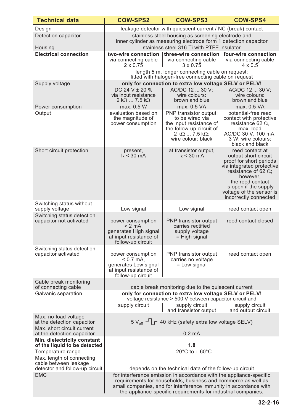| <b>Technical data</b>                                                            | <b>COW-SPS2</b>                                                                                                                                                                                                                                                            | <b>COW-SPS3</b>                                                                                                           | <b>COW-SPS4</b>                                                                                                                                                                                                                              |
|----------------------------------------------------------------------------------|----------------------------------------------------------------------------------------------------------------------------------------------------------------------------------------------------------------------------------------------------------------------------|---------------------------------------------------------------------------------------------------------------------------|----------------------------------------------------------------------------------------------------------------------------------------------------------------------------------------------------------------------------------------------|
| Design                                                                           |                                                                                                                                                                                                                                                                            | leakage detector with quiescent current / NC (break) contact                                                              |                                                                                                                                                                                                                                              |
| Detection capacitor                                                              |                                                                                                                                                                                                                                                                            | stainless steel housing as screening electrode and                                                                        |                                                                                                                                                                                                                                              |
|                                                                                  | inner cylinder as measuring electrode form 1 detection capacitor                                                                                                                                                                                                           |                                                                                                                           |                                                                                                                                                                                                                                              |
| Housing<br><b>Electrical connection</b>                                          | stainless steel 316 Ti with PTFE insulator<br>three-wire connection   four-wire connection                                                                                                                                                                                 |                                                                                                                           |                                                                                                                                                                                                                                              |
|                                                                                  | two-wire connection<br>via connecting cable<br>$2 \times 0.75$                                                                                                                                                                                                             | via connecting cable<br>$3 \times 0.75$                                                                                   | via connecting cable<br>$4 \times 0.5$                                                                                                                                                                                                       |
|                                                                                  |                                                                                                                                                                                                                                                                            | length 5 m, longer connecting cable on request;<br>fitted with halogen-free connecting cable on request                   |                                                                                                                                                                                                                                              |
| Supply voltage                                                                   |                                                                                                                                                                                                                                                                            | only for connection to extra low voltage SELV or PELV!                                                                    |                                                                                                                                                                                                                                              |
|                                                                                  | DC 24 V $\pm$ 20 %<br>via input resistance<br>$2 k\Omega$ 7.5 k $\Omega$<br>max. 0.5 W                                                                                                                                                                                     | AC/DC 12  30 V;<br>wire colours:<br>brown and blue                                                                        | AC/DC 12  30 V:<br>wire colours:<br>brown and blue                                                                                                                                                                                           |
| Power consumption<br>Output                                                      | evaluation based on                                                                                                                                                                                                                                                        | max. 0.5 VA<br>PNP transistor output;                                                                                     | max. 0.5 VA<br>potential-free reed                                                                                                                                                                                                           |
|                                                                                  | the magnitude of<br>power consumption                                                                                                                                                                                                                                      | to be wired via<br>the input resistance of<br>the follow-up circuit of<br>$2 k\Omega  7.5 k\Omega;$<br>wire colour: black | contact with protective<br>resistance 62 $\Omega$ ,<br>max. load<br>AC/DC 30 V, 100 mA,<br>3 W; wire colours:<br>black and black                                                                                                             |
| Short circuit protection                                                         | present,<br>$k < 30$ mA                                                                                                                                                                                                                                                    | at transistor output,<br>$k < 30$ mA                                                                                      | reed contact at<br>output short circuit<br>proof for short periods<br>via integrated protective<br>resistance of 62 $\Omega$ ;<br>however,<br>the reed contact<br>is open if the supply<br>voltage of the sensor is<br>incorrectly connected |
| Switching status without                                                         |                                                                                                                                                                                                                                                                            |                                                                                                                           |                                                                                                                                                                                                                                              |
| supply voltage                                                                   | Low signal                                                                                                                                                                                                                                                                 | Low signal                                                                                                                | reed contact open                                                                                                                                                                                                                            |
| Switching status detection<br>capacitor not activated                            | power consumption<br>$> 2$ mA,<br>generates High signal<br>at input resistance of<br>follow-up circuit                                                                                                                                                                     | PNP transistor output<br>carries rectified<br>supply voltage<br>$=$ High signal                                           | reed contact closed                                                                                                                                                                                                                          |
| Switching status detection<br>capacitor activated                                | power consumption<br>$< 0.7$ mA,                                                                                                                                                                                                                                           | PNP transistor output<br>carries no voltage                                                                               | reed contact open                                                                                                                                                                                                                            |
|                                                                                  | generates Low signal<br>at input resistance of<br>follow-up circuit                                                                                                                                                                                                        | = Low signal                                                                                                              |                                                                                                                                                                                                                                              |
| Cable break monitoring                                                           |                                                                                                                                                                                                                                                                            |                                                                                                                           |                                                                                                                                                                                                                                              |
| of connecting cable<br>Galvanic separation                                       |                                                                                                                                                                                                                                                                            | cable break monitoring due to the quiescent current<br>only for connection to extra low voltage SELV or PELV!             |                                                                                                                                                                                                                                              |
|                                                                                  |                                                                                                                                                                                                                                                                            | voltage resistance > 500 V between capacitor circuit and                                                                  |                                                                                                                                                                                                                                              |
|                                                                                  | supply circuit                                                                                                                                                                                                                                                             | supply circuit<br>and transistor output                                                                                   | supply circuit<br>and output circuit                                                                                                                                                                                                         |
| Max. no-load voltage<br>at the detection capacitor<br>Max. short circuit current | $5V_{\text{eff}}$ $\Box$ 40 kHz (safety extra low voltage SELV)                                                                                                                                                                                                            |                                                                                                                           |                                                                                                                                                                                                                                              |
| at the detection capacitor                                                       |                                                                                                                                                                                                                                                                            | $0.2 \text{ mA}$                                                                                                          |                                                                                                                                                                                                                                              |
| Min. dielectricity constant<br>of the liquid to be detected                      |                                                                                                                                                                                                                                                                            | 1.8                                                                                                                       |                                                                                                                                                                                                                                              |
| Temperature range                                                                |                                                                                                                                                                                                                                                                            | $-20^{\circ}$ C to $+60^{\circ}$ C                                                                                        |                                                                                                                                                                                                                                              |
| Max. length of connecting<br>cable between leakage                               |                                                                                                                                                                                                                                                                            |                                                                                                                           |                                                                                                                                                                                                                                              |
| detector and follow-up circuit                                                   |                                                                                                                                                                                                                                                                            | depends on the technical data of the follow-up circuit                                                                    |                                                                                                                                                                                                                                              |
| <b>EMC</b>                                                                       | for interference emission in accordance with the appliance-specific<br>requirements for households, business and commerce as well as<br>small companies, and for interference immunity in accordance with<br>the appliance-specific requirements for industrial companies. |                                                                                                                           |                                                                                                                                                                                                                                              |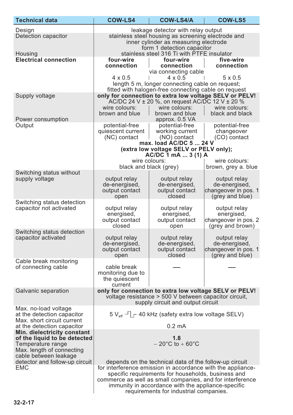| <b>Technical data</b>                                                                                                                  | <b>COW-LS4</b>                                                                                                                                                                                                                                                                                                                           | <b>COW-LS4/A</b>                                                                                                                                                                                                               | <b>COW-LS5</b>                                                           |
|----------------------------------------------------------------------------------------------------------------------------------------|------------------------------------------------------------------------------------------------------------------------------------------------------------------------------------------------------------------------------------------------------------------------------------------------------------------------------------------|--------------------------------------------------------------------------------------------------------------------------------------------------------------------------------------------------------------------------------|--------------------------------------------------------------------------|
| Design<br>Detection capacitor<br>Housing                                                                                               | leakage detector with relay output<br>stainless steel housing as screening electrode and<br>inner cylinder as measuring electrode<br>form 1 detection capacitor<br>stainless steel 316 Ti with PTFE insulator                                                                                                                            |                                                                                                                                                                                                                                |                                                                          |
| <b>Electrical connection</b>                                                                                                           | four-wire<br>connection<br>$4 \times 0.5$                                                                                                                                                                                                                                                                                                | four-wire<br>connection<br>via connecting cable<br>$4 \times 0.5$<br>length 5 m, longer connecting cable on request;                                                                                                           | five-wire<br>connection<br>$5 \times 0.5$                                |
| Supply voltage<br>Power consumption                                                                                                    | wire colours:<br>brown and blue                                                                                                                                                                                                                                                                                                          | fitted with halogen-free connecting cable on request<br>only for connection to extra low voltage SELV or PELV!<br>AC/DC 24 V $\pm$ 20 %, on request AC/DC 12 V $\pm$ 20 %<br>wire colours:<br>brown and blue<br>approx. 0.5 VA | wire colours:<br>black and black                                         |
| Output                                                                                                                                 | potential-free<br>quiescent current<br>(NC) contact                                                                                                                                                                                                                                                                                      | potential-free<br>working current<br>(NO) contact<br>max. load AC/DC 5  24 V<br>(extra low voltage SELV or PELV only);                                                                                                         | potential-free<br>changeover<br>(CO) contact                             |
|                                                                                                                                        |                                                                                                                                                                                                                                                                                                                                          | AC/DC 1 mA  3 (1) A<br>wire colours:<br>black and black (grey)                                                                                                                                                                 | wire colours:<br>brown, grey a. blue                                     |
| Switching status without<br>supply voltage                                                                                             | output relay<br>de-energised,<br>output contact<br>open                                                                                                                                                                                                                                                                                  | output relay<br>de-energised,<br>output contact<br>closed                                                                                                                                                                      | output relay<br>de-energised,<br>changeover in pos. 1<br>(grey and blue) |
| Switching status detection<br>capacitor not activated                                                                                  | output relay<br>energised,<br>output contact<br>closed                                                                                                                                                                                                                                                                                   | output relay<br>energised,<br>output contact<br>open                                                                                                                                                                           | output relay<br>energised,<br>changeover in pos. 2<br>(grey and brown)   |
| Switching status detection<br>capacitor activated                                                                                      | output relay<br>de-energised,<br>output contact<br>open                                                                                                                                                                                                                                                                                  | output relay<br>de-energised,<br>output contact<br>closed                                                                                                                                                                      | output relay<br>de-energised,<br>changeover in pos. 1<br>(grey and blue) |
| Cable break monitoring<br>of connecting cable                                                                                          | cable break<br>monitoring due to<br>the quiescent<br>current                                                                                                                                                                                                                                                                             |                                                                                                                                                                                                                                |                                                                          |
| Galvanic separation                                                                                                                    | only for connection to extra low voltage SELV or PELV!<br>voltage resistance > 500 V between capacitor circuit,<br>supply circuit and output circuit                                                                                                                                                                                     |                                                                                                                                                                                                                                |                                                                          |
| Max. no-load voltage<br>at the detection capacitor<br>Max. short circuit current<br>at the detection capacitor                         | $5 V_{\text{eff}}$ – $\Gamma$ 40 kHz (safety extra low voltage SELV)<br>$0.2 \text{ mA}$                                                                                                                                                                                                                                                 |                                                                                                                                                                                                                                |                                                                          |
| Min. dielectricity constant<br>of the liquid to be detected<br>Temperature range<br>Max. length of connecting<br>cable between leakage | 1.8<br>$-20^{\circ}$ C to + 60 $^{\circ}$ C                                                                                                                                                                                                                                                                                              |                                                                                                                                                                                                                                |                                                                          |
| detector and follow-up circuit<br><b>EMC</b>                                                                                           | depends on the technical data of the follow-up circuit<br>for interference emission in accordance with the appliance-<br>specific requirements for households, business and<br>commerce as well as small companies, and for interference<br>immunity in accordance with the appliance-specific<br>requirements for industrial companies. |                                                                                                                                                                                                                                |                                                                          |